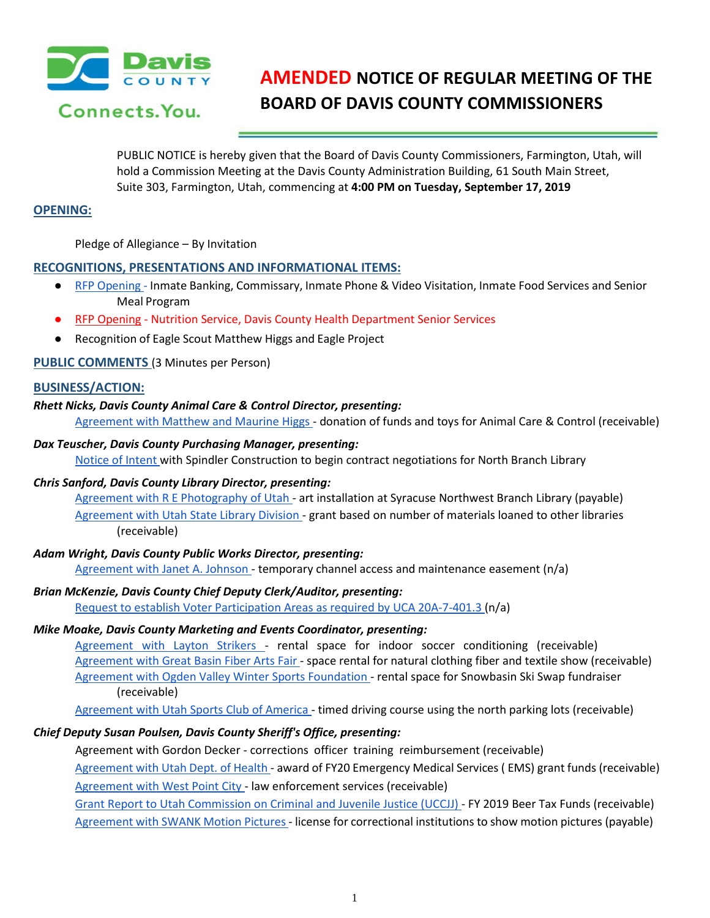

# **AMENDED NOTICE OF REGULAR MEETING OF THE BOARD OF DAVIS COUNTY COMMISSIONERS**

PUBLIC NOTICE is hereby given that the Board of Davis County Commissioners, Farmington, Utah, will hold a Commission Meeting at the Davis County Administration Building, 61 South Main Street, Suite 303, Farmington, Utah, commencing at **4:00 PM on Tuesday, September 17, 2019**

# **OPENING:**

Pledge of Allegiance – By Invitation

## **RECOGNITIONS, PRESENTATIONS AND INFORMATIONAL ITEMS:**

- RFP [Opening](https://drive.google.com/a/co.davis.ut.us/file/d/1B-PRaZ_fDsefJ0w6lTwwsg6YPOO4lhTF/view?usp=drivesdk) [-](https://drive.google.com/a/co.davis.ut.us/file/d/1B-PRaZ_fDsefJ0w6lTwwsg6YPOO4lhTF/view?usp=drivesdk) Inmate Banking, Commissary, Inmate Phone & Video Visitation, Inmate Food Services and Senior Meal Program
- RFP Opening Nutrition Service, Davis County Health Department Senior Services
- Recognition of Eagle Scout Matthew Higgs and Eagle Project

## **PUBLIC COMMENTS** (3 Minutes per Person)

## **BUSINESS/ACTION:**

#### *Rhett Nicks, Davis County Animal Care & Control Director, presenting:*

[Agreement with Matthew and Maurine Higgs -](https://drive.google.com/a/co.davis.ut.us/file/d/1QPoj8hphKuv0fx1flPBJ_C4rXomZUHFS/view?usp=drivesdk) donation of funds and toys for Animal Care & Control (receivable)

#### *Dax Teuscher, Davis County Purchasing Manager, presenting:*

[Notice of Intent w](https://drive.google.com/a/co.davis.ut.us/file/d/1pDlZQTFc75XOxCvYUdOb9vTdN-ijMnmn/view?usp=drivesdk)ith Spindler Construction to begin contract negotiations for North Branch Library

#### *Chris Sanford, Davis County Library Director, presenting:*

[Agreement with R E Photography of Utah -](https://drive.google.com/a/co.davis.ut.us/file/d/1TgthwVd8s64xQOnX38XrMep6h_ruF4uK/view?usp=drivesdk) art installation at Syracuse Northwest Branch Library (payable) [Agreement with Utah State Library Division -](https://drive.google.com/a/co.davis.ut.us/file/d/1ajEiS3jm6maCUQxygVjOxq_ZFjwPMYBK/view?usp=drivesdk) grant based on number of materials loaned to other libraries (receivable)

#### *Adam Wright, Davis County Public Works Director, presenting:*

[Agreement with Janet A. Johnson -](https://drive.google.com/a/co.davis.ut.us/file/d/1VKCD6OINOK8lrgv92wunPFNPlD11W2fF/view?usp=drivesdk) temporary channel access and maintenance easement (n/a)

#### *Brian McKenzie, Davis County Chief Deputy Clerk/Auditor, presenting:*

[Request to establish Voter Participation Areas as required by UCA 20A-7-401.3 \(](https://drive.google.com/a/co.davis.ut.us/file/d/1UqPSgr--SId6BAgu0FdXnlnhtEB2bl_g/view?usp=drivesdk)n/a)

#### *Mike Moake, Davis County Marketing and Events Coordinator, presenting:*

[Agreement with Layton Strikers -](https://drive.google.com/a/co.davis.ut.us/file/d/1OK4rX1eFyyrk4bkvdLG49YKkllEX2juo/view?usp=drivesdk) rental space for indoor soccer conditioning (receivable) [Agreement with Great Basin Fiber Arts Fair -](https://drive.google.com/a/co.davis.ut.us/file/d/1aqDRnuBpbZyr0eZNXgzX78k19Mv3ICpC/view?usp=drivesdk) space rental for natural clothing fiber and textile show (receivable) [Agreement with Ogden Valley Winter Sports Foundation -](https://drive.google.com/a/co.davis.ut.us/file/d/11npvKrUQ9da6u0iTY0NvhTZIrWjaWqCv/view?usp=drivesdk) rental space for Snowbasin Ski Swap fundraiser (receivable)

[Agreement with Utah Sports Club of America -](https://drive.google.com/a/co.davis.ut.us/file/d/1pXIDNQkbmswBVKvZdZvIdLtiQFRj0U9r/view?usp=drivesdk) timed driving course using the north parking lots (receivable)

# *Chief Deputy Susan Poulsen, Davis County Sheriff's Office, presenting:*

Agreement with Gordon Decker - corrections officer training reimbursement (receivable)

[Agreement](https://drive.google.com/a/co.davis.ut.us/file/d/10ERtb4yFkRJh5d69tJnFgoZCaoZ32-kP/view?usp=drivesdk) with Utah Dept. of Health - award of FY20 Emergency Medical Services ( EMS) grant funds (receivable) Agreement with West Point City - law enforcement services (receivable)

[Grant Report to Utah Commission on Criminal and Juvenile Justice \(UCCJJ\) -](https://drive.google.com/a/co.davis.ut.us/file/d/1acqdDIgBH-PVhEG4xKtuvsT0rZY8eb34/view?usp=drivesdk) FY 2019 Beer Tax Funds (receivable) [Agreement](https://drive.google.com/a/co.davis.ut.us/file/d/1r-qWe4jR7QvHtZCaODI4mccQj282wsPd/view?usp=drivesdk) with SWANK Motion Pictures- license for correctional institutions to show motion pictures (payable)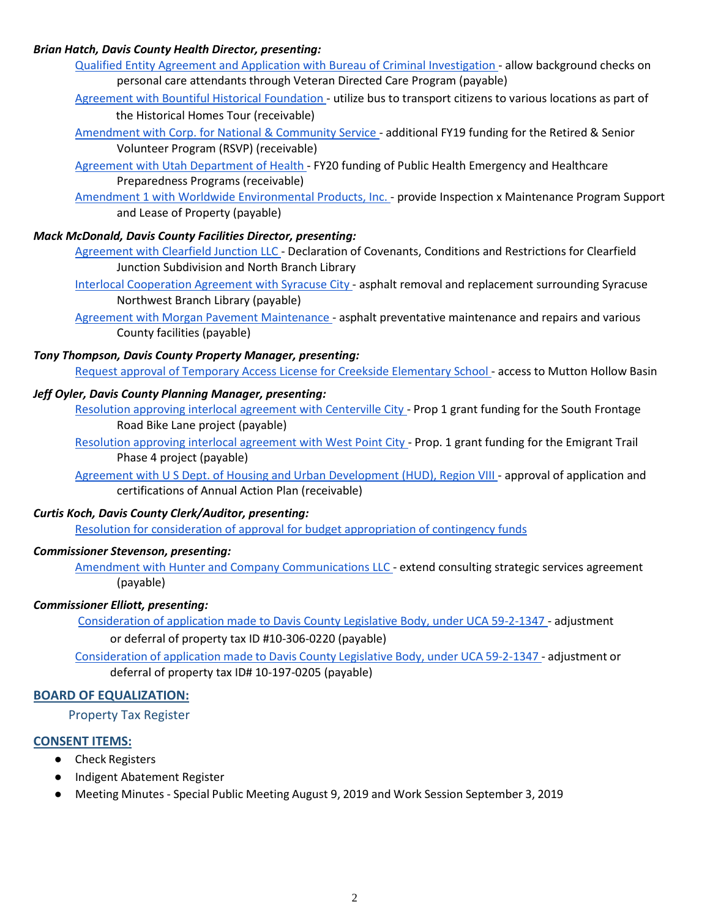## *Brian Hatch, Davis County Health Director, presenting:*

[Qualified Entity Agreement and Application with Bureau of Criminal Investigation -](https://drive.google.com/a/co.davis.ut.us/file/d/1wzUQ_7_-rqG_EclehbLpwjgbh73RoG9J/view?usp=drivesdk) allow background checks on personal care attendants through Veteran Directed Care Program (payable)

[Agreement with Bountiful Historical Foundation -](https://drive.google.com/a/co.davis.ut.us/file/d/12SH9dvKfq4laViCqtjEt-IP3dGOZ5cZ4/view?usp=drivesdk) utilize bus to transport citizens to various locations as part of the Historical Homes Tour (receivable)

[Amendment with Corp. for National & Community Service -](https://drive.google.com/a/co.davis.ut.us/file/d/1mtjQSFU5-uuNXu1s_mcrhSRa3MQe47aI/view?usp=drivesdk) additional FY19 funding for the Retired & Senior Volunteer Program (RSVP) (receivable)

[Agreement with Utah Department of Health -](https://drive.google.com/a/co.davis.ut.us/file/d/1orhRK2JkFaTgGqG33rOp7lBTH6a340RT/view?usp=drivesdk) FY20 funding of Public Health Emergency and Healthcare Preparedness Programs (receivable)

[Amendment 1 with Worldwide Environmental Products, Inc. -](https://drive.google.com/a/co.davis.ut.us/file/d/17tw2L2-axTrLUggZBnO1S7EI7YZjKEF-/view?usp=drivesdk) provide Inspection x Maintenance Program Support and Lease of Property (payable)

## *Mack McDonald, Davis County Facilities Director, presenting:*

[Agreement with Clearfield Junction LLC -](https://drive.google.com/a/co.davis.ut.us/file/d/1dzpbYSaqwFag9lZANLiPo7jYgMwLAWZ9/view?usp=drivesdk) Declaration of Covenants, Conditions and Restrictions for Clearfield Junction Subdivision and North Branch Library

[Interlocal Cooperation Agreement with Syracuse City -](https://drive.google.com/a/co.davis.ut.us/file/d/1GPqLUA3S2Dggs0nmyUQ_FR02e6ulfK3O/view?usp=drivesdk) asphalt removal and replacement surrounding Syracuse Northwest Branch Library (payable)

[Agreement with Morgan Pavement Maintenance -](https://drive.google.com/a/co.davis.ut.us/file/d/11Pacq2rSaPW5EGGlrKqQtDmE1Oiceo8W/view?usp=drivesdk) asphalt preventative maintenance and repairs and various County facilities (payable)

*Tony Thompson, Davis County Property Manager, presenting:*

[Request approval of Temporary Access License for Creekside Elementary School -](https://drive.google.com/a/co.davis.ut.us/file/d/1dRJvT8FTbo4_cT_RkbQJINoiKTbOeVQO/view?usp=drivesdk) access to Mutton Hollow Basin

#### *Jeff Oyler, Davis County Planning Manager, presenting:*

[Resolution approving interlocal agreement with Centerville City -](https://drive.google.com/a/co.davis.ut.us/file/d/11GARcyrKXC5fpizVWH6dXO28JaVGgm25/view?usp=drivesdk) Prop 1 grant funding for the South Frontage Road Bike Lane project (payable)

[Resolution approving interlocal agreement with West Point City -](https://drive.google.com/a/co.davis.ut.us/file/d/12hVDVrLZEeaDILJN9SiFkl8DwgNBenrn/view?usp=drivesdk) Prop. 1 grant funding for the Emigrant Trail Phase 4 project (payable)

[Agreement with U S Dept. of Housing and Urban](https://drive.google.com/a/co.davis.ut.us/file/d/1H_DcI4eS871e9BVM_jzf-5Zm2eQH_tLK/view?usp=drivesdk) Development (HUD), Region VIII - approval of application and certifications of Annual Action Plan (receivable)

# *Curtis Koch, Davis County Clerk/Auditor, presenting:*

[Resolution for consideration of approval for budget appropriation of contingency funds](https://drive.google.com/a/co.davis.ut.us/file/d/1RquCg_yGhkv6m0qccZ8Nvhs06yi8Lk0S/view?usp=drivesdk)

## *Commissioner Stevenson, presenting:*

[Amendment with Hunter and Company Communications LLC -](https://drive.google.com/a/co.davis.ut.us/file/d/1HtktEf9YuJbPilKhnOdyS5kr4ddlHQbH/view?usp=drivesdk) extend consulting strategic services agreement (payable)

## *Commissioner Elliott, presenting:*

[Consideration of application made to Davis County Legislative Body, under UCA 59-2-1347 -](https://drive.google.com/a/co.davis.ut.us/file/d/1JevYktsVaV2hryV0uYrfZcCM5LGobVsu/view?usp=drivesdk) adjustment or deferral of property tax ID #10-306-0220 (payable)

[Consideration](https://drive.google.com/a/co.davis.ut.us/file/d/1Lkcp7VNnvaLTdN47GHJ4QuZwelOb7Xn9/view?usp=drivesdk) of application made to Davis County Legislative Body, under UCA 59-2-1347 - adjustment or deferral of property tax ID# 10-197-0205 (payable)

# **BOARD OF EQUALIZATION:**

Property Tax Register

# **CONSENT ITEMS:**

- Check Registers
- Indigent Abatement Register
- Meeting Minutes Special Public Meeting August 9, 2019 and Work Session September 3, 2019